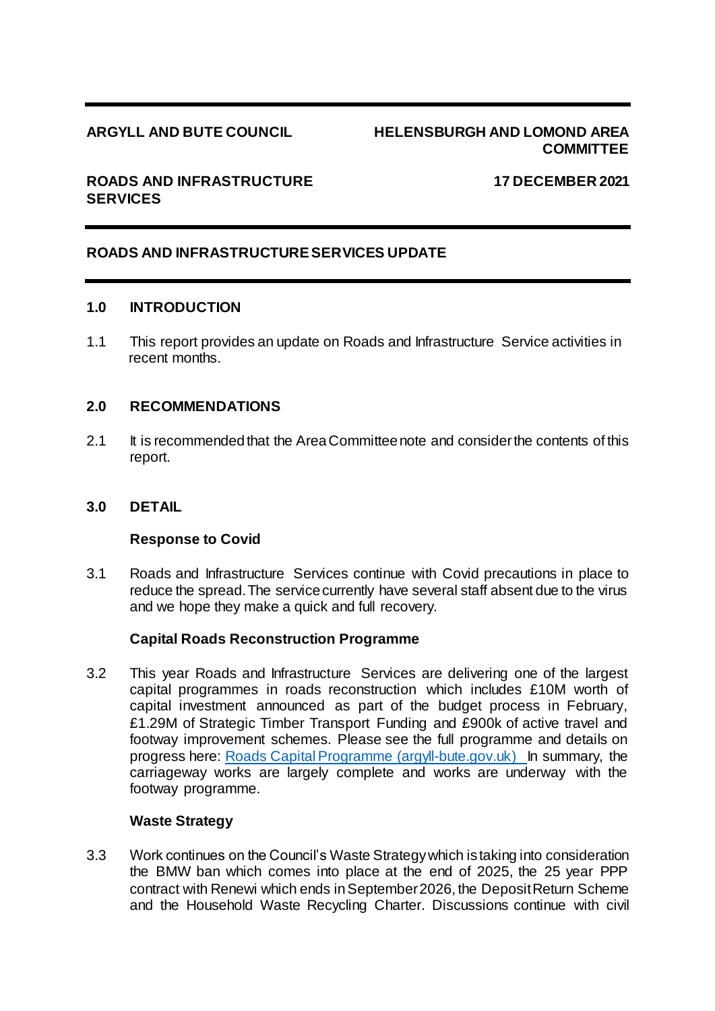## **ARGYLL AND BUTE COUNCIL HELENSBURGH AND LOMOND AREA COMMITTEE**

## **ROADS AND INFRASTRUCTURE 17 DECEMBER 2021 SERVICES**

# **ROADS AND INFRASTRUCTURE SERVICES UPDATE**

#### **1.0 INTRODUCTION**

1.1 This report provides an update on Roads and Infrastructure Service activities in recent months.

## **2.0 RECOMMENDATIONS**

2.1 It is recommended that the Area Committee note and consider the contents of this report.

#### **3.0 DETAIL**

#### **Response to Covid**

3.1 Roads and Infrastructure Services continue with Covid precautions in place to reduce the spread. The service currently have several staff absent due to the virus and we hope they make a quick and full recovery.

#### **Capital Roads Reconstruction Programme**

3.2 This year Roads and Infrastructure Services are delivering one of the largest capital programmes in roads reconstruction which includes £10M worth of capital investment announced as part of the budget process in February, £1.29M of Strategic Timber Transport Funding and £900k of active travel and footway improvement schemes. Please see the full programme and details on progress here: [Roads Capital Programme \(argyll-bute.gov.uk\)](https://www.argyll-bute.gov.uk/roads-capital-programme-0) In summary, the carriageway works are largely complete and works are underway with the footway programme.

#### **Waste Strategy**

3.3 Work continues on the Council's Waste Strategy which is taking into consideration the BMW ban which comes into place at the end of 2025, the 25 year PPP contract with Renewi which ends in September 2026, the Deposit Return Scheme and the Household Waste Recycling Charter. Discussions continue with civil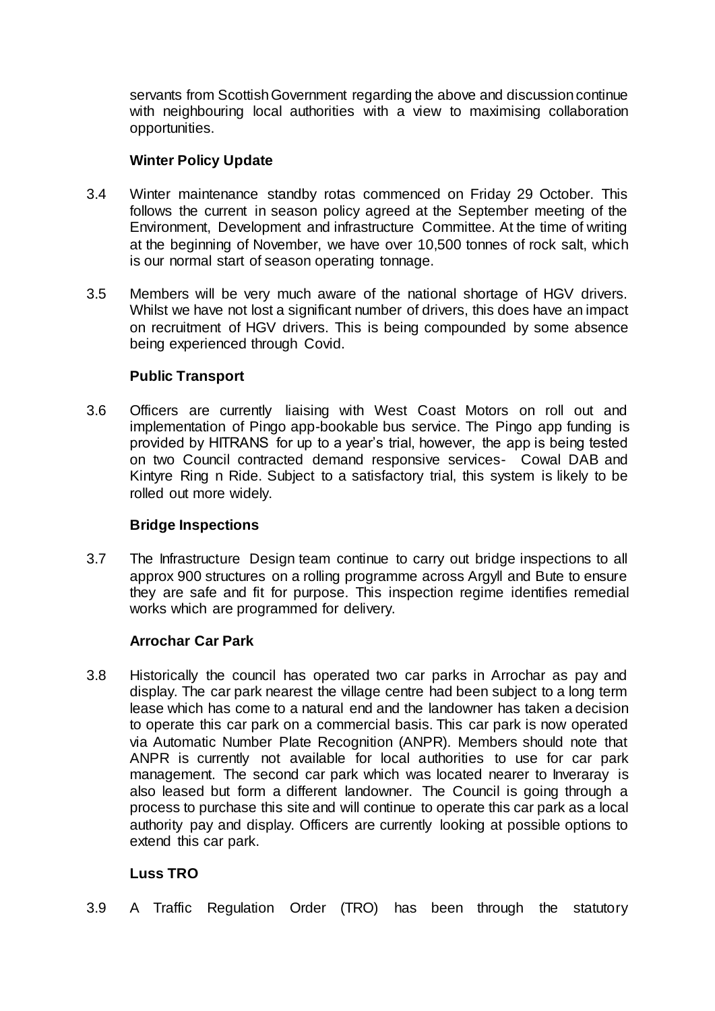servants from Scottish Government regarding the above and discussion continue with neighbouring local authorities with a view to maximising collaboration opportunities.

# **Winter Policy Update**

- 3.4 Winter maintenance standby rotas commenced on Friday 29 October. This follows the current in season policy agreed at the September meeting of the Environment, Development and infrastructure Committee. At the time of writing at the beginning of November, we have over 10,500 tonnes of rock salt, which is our normal start of season operating tonnage.
- 3.5 Members will be very much aware of the national shortage of HGV drivers. Whilst we have not lost a significant number of drivers, this does have an impact on recruitment of HGV drivers. This is being compounded by some absence being experienced through Covid.

# **Public Transport**

3.6 Officers are currently liaising with West Coast Motors on roll out and implementation of Pingo app-bookable bus service. The Pingo app funding is provided by HITRANS for up to a year's trial, however, the app is being tested on two Council contracted demand responsive services- Cowal DAB and Kintyre Ring n Ride. Subject to a satisfactory trial, this system is likely to be rolled out more widely.

## **Bridge Inspections**

3.7 The Infrastructure Design team continue to carry out bridge inspections to all approx 900 structures on a rolling programme across Argyll and Bute to ensure they are safe and fit for purpose. This inspection regime identifies remedial works which are programmed for delivery.

## **Arrochar Car Park**

3.8 Historically the council has operated two car parks in Arrochar as pay and display. The car park nearest the village centre had been subject to a long term lease which has come to a natural end and the landowner has taken a decision to operate this car park on a commercial basis. This car park is now operated via Automatic Number Plate Recognition (ANPR). Members should note that ANPR is currently not available for local authorities to use for car park management. The second car park which was located nearer to Inveraray is also leased but form a different landowner. The Council is going through a process to purchase this site and will continue to operate this car park as a local authority pay and display. Officers are currently looking at possible options to extend this car park.

# **Luss TRO**

3.9 A Traffic Regulation Order (TRO) has been through the statutory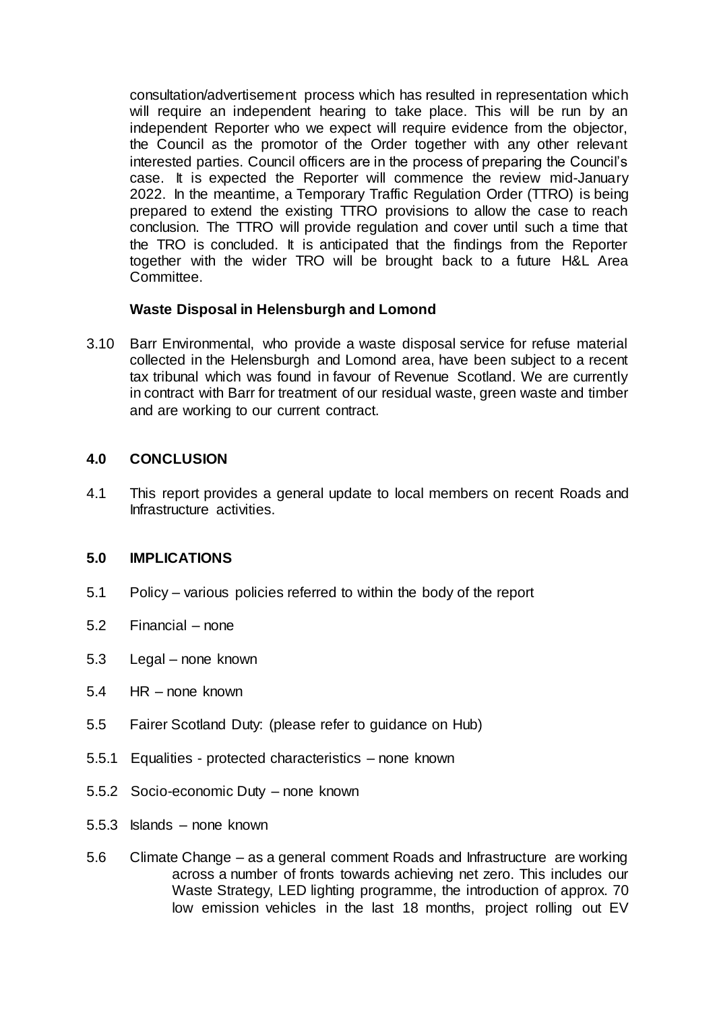consultation/advertisement process which has resulted in representation which will require an independent hearing to take place. This will be run by an independent Reporter who we expect will require evidence from the objector, the Council as the promotor of the Order together with any other relevant interested parties. Council officers are in the process of preparing the Council's case. It is expected the Reporter will commence the review mid-January 2022. In the meantime, a Temporary Traffic Regulation Order (TTRO) is being prepared to extend the existing TTRO provisions to allow the case to reach conclusion. The TTRO will provide regulation and cover until such a time that the TRO is concluded. It is anticipated that the findings from the Reporter together with the wider TRO will be brought back to a future H&L Area Committee.

# **Waste Disposal in Helensburgh and Lomond**

3.10 Barr Environmental, who provide a waste disposal service for refuse material collected in the Helensburgh and Lomond area, have been subject to a recent tax tribunal which was found in favour of Revenue Scotland. We are currently in contract with Barr for treatment of our residual waste, green waste and timber and are working to our current contract.

## **4.0 CONCLUSION**

4.1 This report provides a general update to local members on recent Roads and Infrastructure activities.

## **5.0 IMPLICATIONS**

- 5.1 Policy various policies referred to within the body of the report
- 5.2 Financial none
- 5.3 Legal none known
- 5.4 HR none known
- 5.5 Fairer Scotland Duty: (please refer to guidance on Hub)
- 5.5.1 Equalities protected characteristics none known
- 5.5.2 Socio-economic Duty none known
- 5.5.3 Islands none known
- 5.6 Climate Change as a general comment Roads and Infrastructure are working across a number of fronts towards achieving net zero. This includes our Waste Strategy, LED lighting programme, the introduction of approx. 70 low emission vehicles in the last 18 months, project rolling out EV